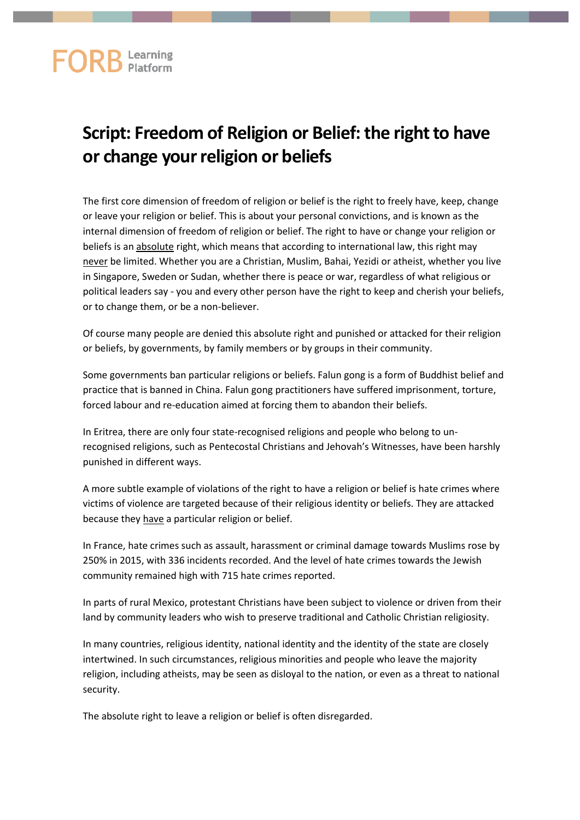## **Script: Freedom of Religion or Belief: the right to have or change your religion or beliefs**

The first core dimension of freedom of religion or belief is the right to freely have, keep, change or leave your religion or belief. This is about your personal convictions, and is known as the internal dimension of freedom of religion or belief. The right to have or change your religion or beliefs is an absolute right, which means that according to international law, this right may never be limited. Whether you are a Christian, Muslim, Bahai, Yezidi or atheist, whether you live in Singapore, Sweden or Sudan, whether there is peace or war, regardless of what religious or political leaders say - you and every other person have the right to keep and cherish your beliefs, or to change them, or be a non-believer.

Of course many people are denied this absolute right and punished or attacked for their religion or beliefs, by governments, by family members or by groups in their community.

Some governments ban particular religions or beliefs. Falun gong is a form of Buddhist belief and practice that is banned in China. Falun gong practitioners have suffered imprisonment, torture, forced labour and re-education aimed at forcing them to abandon their beliefs.

In Eritrea, there are only four state-recognised religions and people who belong to unrecognised religions, such as Pentecostal Christians and Jehovah's Witnesses, have been harshly punished in different ways.

A more subtle example of violations of the right to have a religion or belief is hate crimes where victims of violence are targeted because of their religious identity or beliefs. They are attacked because they have a particular religion or belief.

In France, hate crimes such as assault, harassment or criminal damage towards Muslims rose by 250% in 2015, with 336 incidents recorded. And the level of hate crimes towards the Jewish community remained high with 715 hate crimes reported.

In parts of rural Mexico, protestant Christians have been subject to violence or driven from their land by community leaders who wish to preserve traditional and Catholic Christian religiosity.

In many countries, religious identity, national identity and the identity of the state are closely intertwined. In such circumstances, religious minorities and people who leave the majority religion, including atheists, may be seen as disloyal to the nation, or even as a threat to national security.

The absolute right to leave a religion or belief is often disregarded.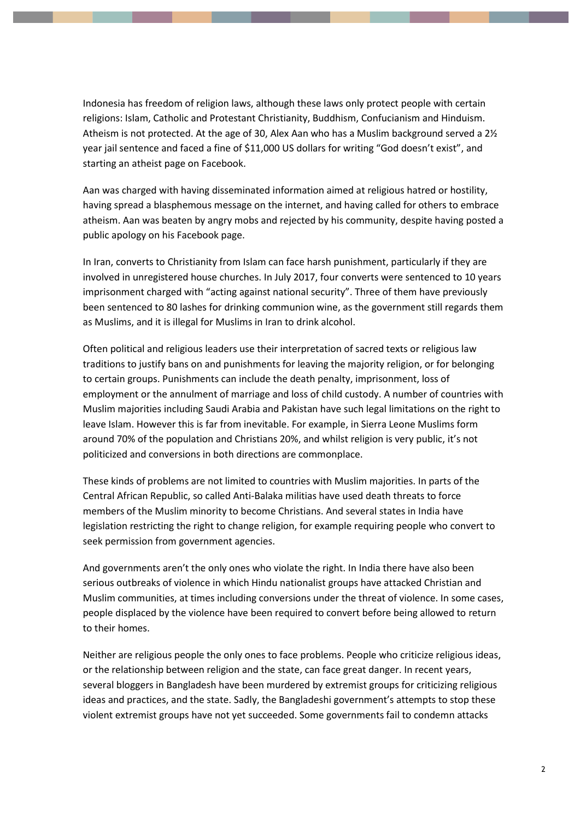Indonesia has freedom of religion laws, although these laws only protect people with certain religions: Islam, Catholic and Protestant Christianity, Buddhism, Confucianism and Hinduism. Atheism is not protected. At the age of 30, Alex Aan who has a Muslim background served a 2½ year jail sentence and faced a fine of \$11,000 US dollars for writing "God doesn't exist", and starting an atheist page on Facebook.

Aan was charged with having disseminated information aimed at religious hatred or hostility, having spread a blasphemous message on the internet, and having called for others to embrace atheism. Aan was beaten by angry mobs and rejected by his community, despite having posted a public apology on his Facebook page.

In Iran, converts to Christianity from Islam can face harsh punishment, particularly if they are involved in unregistered house churches. In July 2017, four converts were sentenced to 10 years imprisonment charged with "acting against national security". Three of them have previously been sentenced to 80 lashes for drinking communion wine, as the government still regards them as Muslims, and it is illegal for Muslims in Iran to drink alcohol.

Often political and religious leaders use their interpretation of sacred texts or religious law traditions to justify bans on and punishments for leaving the majority religion, or for belonging to certain groups. Punishments can include the death penalty, imprisonment, loss of employment or the annulment of marriage and loss of child custody. A number of countries with Muslim majorities including Saudi Arabia and Pakistan have such legal limitations on the right to leave Islam. However this is far from inevitable. For example, in Sierra Leone Muslims form around 70% of the population and Christians 20%, and whilst religion is very public, it's not politicized and conversions in both directions are commonplace.

These kinds of problems are not limited to countries with Muslim majorities. In parts of the Central African Republic, so called Anti-Balaka militias have used death threats to force members of the Muslim minority to become Christians. And several states in India have legislation restricting the right to change religion, for example requiring people who convert to seek permission from government agencies.

And governments aren't the only ones who violate the right. In India there have also been serious outbreaks of violence in which Hindu nationalist groups have attacked Christian and Muslim communities, at times including conversions under the threat of violence. In some cases, people displaced by the violence have been required to convert before being allowed to return to their homes.

Neither are religious people the only ones to face problems. People who criticize religious ideas, or the relationship between religion and the state, can face great danger. In recent years, several bloggers in Bangladesh have been murdered by extremist groups for criticizing religious ideas and practices, and the state. Sadly, the Bangladeshi government's attempts to stop these violent extremist groups have not yet succeeded. Some governments fail to condemn attacks